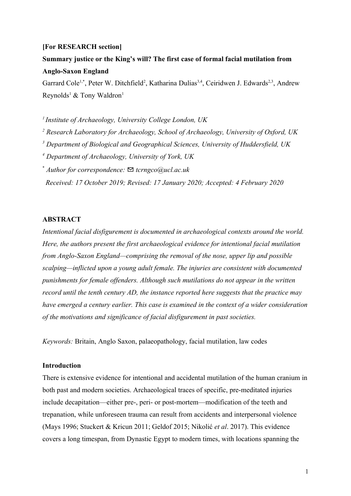#### **[For RESEARCH section]**

**Summary justice or the King's will? The first case of formal facial mutilation from Anglo-Saxon England**

Garrard Cole<sup>1,\*</sup>, Peter W. Ditchfield<sup>2</sup>, Katharina Dulias<sup>3,4</sup>, Ceiridwen J. Edwards<sup>2,3</sup>, Andrew Reynolds<sup>1</sup> & Tony Waldron<sup>1</sup>

*<sup>1</sup>Institute of Archaeology, University College London, UK*

*2 Research Laboratory for Archaeology, School of Archaeology, University of Oxford, UK*

*3 Department of Biological and Geographical Sciences, University of Huddersfield, UK*

*4 Department of Archaeology, University of York, UK*

\* *Author for correspondence:* ✉ *tcrngco@ucl.ac.uk*

*Received: 17 October 2019; Revised: 17 January 2020; Accepted: 4 February 2020*

### **ABSTRACT**

*Intentional facial disfigurement is documented in archaeological contexts around the world. Here, the authors present the first archaeological evidence for intentional facial mutilation from Anglo-Saxon England—comprising the removal of the nose, upper lip and possible scalping—inflicted upon a young adult female. The injuries are consistent with documented punishments for female offenders. Although such mutilations do not appear in the written record until the tenth century AD, the instance reported here suggests that the practice may have emerged a century earlier. This case is examined in the context of a wider consideration of the motivations and significance of facial disfigurement in past societies.*

*Keywords:* Britain, Anglo Saxon, palaeopathology, facial mutilation, law codes

## **Introduction**

There is extensive evidence for intentional and accidental mutilation of the human cranium in both past and modern societies. Archaeological traces of specific, pre-meditated injuries include decapitation—either pre-, peri- or post-mortem—modification of the teeth and trepanation, while unforeseen trauma can result from accidents and interpersonal violence (Mays 1996; Stuckert & Kricun 2011; Geldof 2015; Nikolić *et al*. 2017). This evidence covers a long timespan, from Dynastic Egypt to modern times, with locations spanning the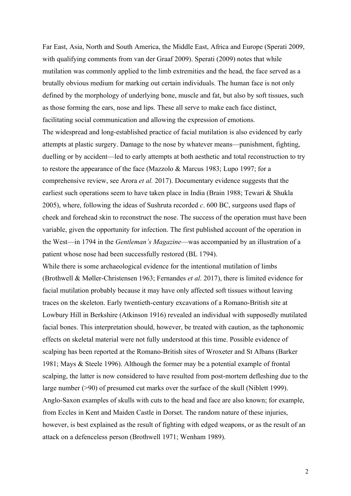Far East, Asia, North and South America, the Middle East, Africa and Europe (Sperati 2009, with qualifying comments from van der Graaf 2009). Sperati (2009) notes that while mutilation was commonly applied to the limb extremities and the head, the face served as a brutally obvious medium for marking out certain individuals. The human face is not only defined by the morphology of underlying bone, muscle and fat, but also by soft tissues, such as those forming the ears, nose and lips. These all serve to make each face distinct, facilitating social communication and allowing the expression of emotions. The widespread and long-established practice of facial mutilation is also evidenced by early attempts at plastic surgery. Damage to the nose by whatever means—punishment, fighting, duelling or by accident—led to early attempts at both aesthetic and total reconstruction to try to restore the appearance of the face (Mazzolo & Marcus 1983; Lupo 1997; for a comprehensive review, see Arora *et al.* 2017). Documentary evidence suggests that the earliest such operations seem to have taken place in India (Brain 1988; Tewari & Shukla 2005), where, following the ideas of Sushruta recorded *c*. 600 BC, surgeons used flaps of cheek and forehead skin to reconstruct the nose. The success of the operation must have been variable, given the opportunity for infection. The first published account of the operation in the West—in 1794 in the *Gentleman's Magazine*—was accompanied by an illustration of a patient whose nose had been successfully restored (BL 1794).

While there is some archaeological evidence for the intentional mutilation of limbs (Brothwell & Møller-Christensen 1963; Fernandes *et al*. 2017), there is limited evidence for facial mutilation probably because it may have only affected soft tissues without leaving traces on the skeleton. Early twentieth-century excavations of a Romano-British site at Lowbury Hill in Berkshire (Atkinson 1916) revealed an individual with supposedly mutilated facial bones. This interpretation should, however, be treated with caution, as the taphonomic effects on skeletal material were not fully understood at this time. Possible evidence of scalping has been reported at the Romano-British sites of Wroxeter and St Albans (Barker 1981; Mays & Steele 1996). Although the former may be a potential example of frontal scalping, the latter is now considered to have resulted from post-mortem defleshing due to the large number (>90) of presumed cut marks over the surface of the skull (Niblett 1999). Anglo-Saxon examples of skulls with cuts to the head and face are also known; for example, from Eccles in Kent and Maiden Castle in Dorset. The random nature of these injuries, however, is best explained as the result of fighting with edged weapons, or as the result of an attack on a defenceless person (Brothwell 1971; Wenham 1989).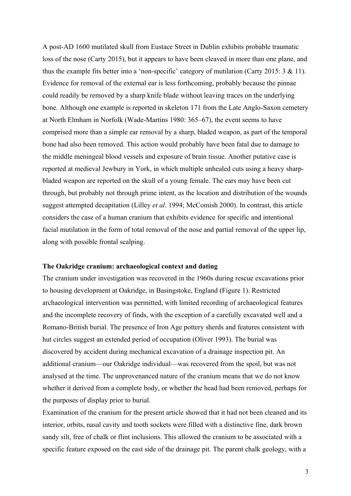A post-AD 1600 mutilated skull from Eustace Street in Dublin exhibits probable traumatic loss of the nose (Carty 2015), but it appears to have been cleaved in more than one plane, and thus the example fits better into a 'non-specific' category of mutilation (Carty 2015: 3 & 11). Evidence for removal of the external ear is less forthcoming, probably because the pinnae could readily be removed by a sharp knife blade without leaving traces on the underlying bone. Although one example is reported in skeleton 171 from the Late Anglo-Saxon cemetery at North Elmham in Norfolk (Wade-Martins 1980: 365–67), the event seems to have comprised more than a simple ear removal by a sharp, bladed weapon, as part of the temporal bone had also been removed. This action would probably have been fatal due to damage to the middle meningeal blood vessels and exposure of brain tissue. Another putative case is reported at medieval Jewbury in York, in which multiple unhealed cuts using a heavy sharpbladed weapon are reported on the skull of a young female. The ears may have been cut through, but probably not through prime intent, as the location and distribution of the wounds suggest attempted decapitation (Lilley *et al*. 1994; McComish 2000). In contrast, this article considers the case of a human cranium that exhibits evidence for specific and intentional facial mutilation in the form of total removal of the nose and partial removal of the upper lip, along with possible frontal scalping.

#### **The Oakridge cranium: archaeological context and dating**

The cranium under investigation was recovered in the 1960s during rescue excavations prior to housing development at Oakridge, in Basingstoke, England (Figure 1). Restricted archaeological intervention was permitted, with limited recording of archaeological features and the incomplete recovery of finds, with the exception of a carefully excavated well and a Romano-British burial. The presence of Iron Age pottery sherds and features consistent with hut circles suggest an extended period of occupation (Oliver 1993). The burial was discovered by accident during mechanical excavation of a drainage inspection pit. An additional cranium—our Oakridge individual—was recovered from the spoil, but was not analysed at the time. The unprovenanced nature of the cranium means that we do not know whether it derived from a complete body, or whether the head had been removed, perhaps for the purposes of display prior to burial.

Examination of the cranium for the present article showed that it had not been cleaned and its interior, orbits, nasal cavity and tooth sockets were filled with a distinctive fine, dark brown sandy silt, free of chalk or flint inclusions. This allowed the cranium to be associated with a specific feature exposed on the east side of the drainage pit. The parent chalk geology, with a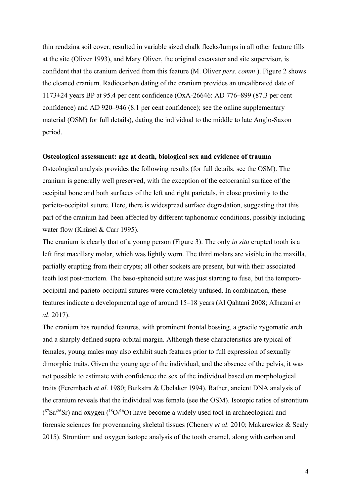thin rendzina soil cover, resulted in variable sized chalk flecks/lumps in all other feature fills at the site (Oliver 1993), and Mary Oliver, the original excavator and site supervisor, is confident that the cranium derived from this feature (M. Oliver *pers. comm*.). Figure 2 shows the cleaned cranium. Radiocarbon dating of the cranium provides an uncalibrated date of 1173±24 years BP at 95.4 per cent confidence (OxA-26646: AD 776–899 (87.3 per cent confidence) and AD 920–946 (8.1 per cent confidence); see the online supplementary material (OSM) for full details), dating the individual to the middle to late Anglo-Saxon period.

### **Osteological assessment: age at death, biological sex and evidence of trauma**

Osteological analysis provides the following results (for full details, see the OSM). The cranium is generally well preserved, with the exception of the ectocranial surface of the occipital bone and both surfaces of the left and right parietals, in close proximity to the parieto-occipital suture. Here, there is widespread surface degradation, suggesting that this part of the cranium had been affected by different taphonomic conditions, possibly including water flow (Knüsel & Carr 1995).

The cranium is clearly that of a young person (Figure 3). The only *in situ* erupted tooth is a left first maxillary molar, which was lightly worn. The third molars are visible in the maxilla, partially erupting from their crypts; all other sockets are present, but with their associated teeth lost post-mortem. The baso-sphenoid suture was just starting to fuse, but the temporooccipital and parieto-occipital sutures were completely unfused. In combination, these features indicate a developmental age of around 15–18 years (Al Qahtani 2008; Alhazmi *et al*. 2017).

The cranium has rounded features, with prominent frontal bossing, a gracile zygomatic arch and a sharply defined supra-orbital margin. Although these characteristics are typical of females, young males may also exhibit such features prior to full expression of sexually dimorphic traits. Given the young age of the individual, and the absence of the pelvis, it was not possible to estimate with confidence the sex of the individual based on morphological traits (Ferembach *et al*. 1980; Buikstra & Ubelaker 1994). Rather, ancient DNA analysis of the cranium reveals that the individual was female (see the OSM). Isotopic ratios of strontium  $({}^{87}Sr/{}^{86}Sr)$  and oxygen ( ${}^{18}O/{}^{16}O$ ) have become a widely used tool in archaeological and forensic sciences for provenancing skeletal tissues (Chenery *et al*. 2010; Makarewicz & Sealy 2015). Strontium and oxygen isotope analysis of the tooth enamel, along with carbon and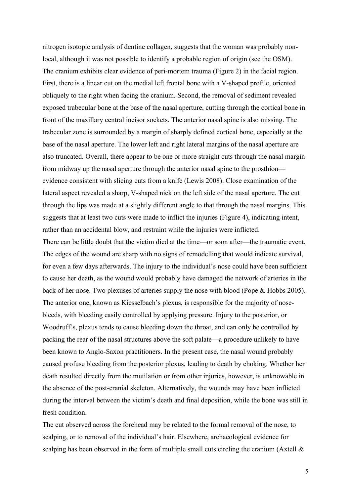nitrogen isotopic analysis of dentine collagen, suggests that the woman was probably nonlocal, although it was not possible to identify a probable region of origin (see the OSM). The cranium exhibits clear evidence of peri-mortem trauma (Figure 2) in the facial region. First, there is a linear cut on the medial left frontal bone with a V-shaped profile, oriented obliquely to the right when facing the cranium. Second, the removal of sediment revealed exposed trabecular bone at the base of the nasal aperture, cutting through the cortical bone in front of the maxillary central incisor sockets. The anterior nasal spine is also missing. The trabecular zone is surrounded by a margin of sharply defined cortical bone, especially at the base of the nasal aperture. The lower left and right lateral margins of the nasal aperture are also truncated. Overall, there appear to be one or more straight cuts through the nasal margin from midway up the nasal aperture through the anterior nasal spine to the prosthion evidence consistent with slicing cuts from a knife (Lewis 2008). Close examination of the lateral aspect revealed a sharp, V-shaped nick on the left side of the nasal aperture. The cut through the lips was made at a slightly different angle to that through the nasal margins. This suggests that at least two cuts were made to inflict the injuries (Figure 4), indicating intent, rather than an accidental blow, and restraint while the injuries were inflicted.

There can be little doubt that the victim died at the time—or soon after—the traumatic event. The edges of the wound are sharp with no signs of remodelling that would indicate survival, for even a few days afterwards. The injury to the individual's nose could have been sufficient to cause her death, as the wound would probably have damaged the network of arteries in the back of her nose. Two plexuses of arteries supply the nose with blood (Pope & Hobbs 2005). The anterior one, known as Kiesselbach's plexus, is responsible for the majority of nosebleeds, with bleeding easily controlled by applying pressure. Injury to the posterior, or Woodruff's, plexus tends to cause bleeding down the throat, and can only be controlled by packing the rear of the nasal structures above the soft palate—a procedure unlikely to have been known to Anglo-Saxon practitioners. In the present case, the nasal wound probably caused profuse bleeding from the posterior plexus, leading to death by choking. Whether her death resulted directly from the mutilation or from other injuries, however, is unknowable in the absence of the post-cranial skeleton. Alternatively, the wounds may have been inflicted during the interval between the victim's death and final deposition, while the bone was still in fresh condition.

The cut observed across the forehead may be related to the formal removal of the nose, to scalping, or to removal of the individual's hair. Elsewhere, archaeological evidence for scalping has been observed in the form of multiple small cuts circling the cranium (Axtell  $\&$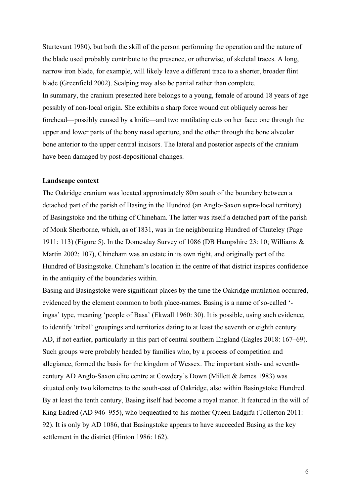Sturtevant 1980), but both the skill of the person performing the operation and the nature of the blade used probably contribute to the presence, or otherwise, of skeletal traces. A long, narrow iron blade, for example, will likely leave a different trace to a shorter, broader flint blade (Greenfield 2002). Scalping may also be partial rather than complete. In summary, the cranium presented here belongs to a young, female of around 18 years of age possibly of non-local origin. She exhibits a sharp force wound cut obliquely across her forehead—possibly caused by a knife—and two mutilating cuts on her face: one through the upper and lower parts of the bony nasal aperture, and the other through the bone alveolar bone anterior to the upper central incisors. The lateral and posterior aspects of the cranium have been damaged by post-depositional changes.

#### **Landscape context**

The Oakridge cranium was located approximately 80m south of the boundary between a detached part of the parish of Basing in the Hundred (an Anglo-Saxon supra-local territory) of Basingstoke and the tithing of Chineham. The latter was itself a detached part of the parish of Monk Sherborne, which, as of 1831, was in the neighbouring Hundred of Chuteley (Page 1911: 113) (Figure 5). In the Domesday Survey of 1086 (DB Hampshire 23: 10; Williams & Martin 2002: 107), Chineham was an estate in its own right, and originally part of the Hundred of Basingstoke. Chineham's location in the centre of that district inspires confidence in the antiquity of the boundaries within.

Basing and Basingstoke were significant places by the time the Oakridge mutilation occurred, evidenced by the element common to both place-names. Basing is a name of so-called ' ingas' type, meaning 'people of Basa' (Ekwall 1960: 30). It is possible, using such evidence, to identify 'tribal' groupings and territories dating to at least the seventh or eighth century AD, if not earlier, particularly in this part of central southern England (Eagles 2018: 167–69). Such groups were probably headed by families who, by a process of competition and allegiance, formed the basis for the kingdom of Wessex. The important sixth- and seventhcentury AD Anglo-Saxon elite centre at Cowdery's Down (Millett & James 1983) was situated only two kilometres to the south-east of Oakridge, also within Basingstoke Hundred. By at least the tenth century, Basing itself had become a royal manor. It featured in the will of King Eadred (AD 946–955), who bequeathed to his mother Queen Eadgifu (Tollerton 2011: 92). It is only by AD 1086, that Basingstoke appears to have succeeded Basing as the key settlement in the district (Hinton 1986: 162).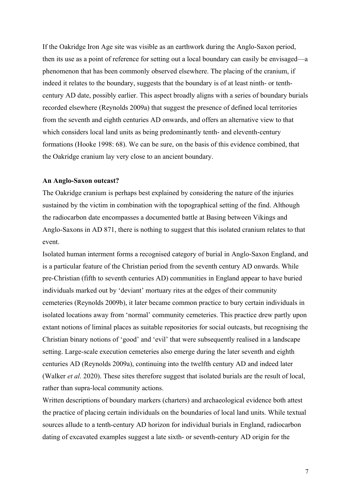If the Oakridge Iron Age site was visible as an earthwork during the Anglo-Saxon period, then its use as a point of reference for setting out a local boundary can easily be envisaged—a phenomenon that has been commonly observed elsewhere. The placing of the cranium, if indeed it relates to the boundary, suggests that the boundary is of at least ninth- or tenthcentury AD date, possibly earlier. This aspect broadly aligns with a series of boundary burials recorded elsewhere (Reynolds 2009a) that suggest the presence of defined local territories from the seventh and eighth centuries AD onwards, and offers an alternative view to that which considers local land units as being predominantly tenth- and eleventh-century formations (Hooke 1998: 68). We can be sure, on the basis of this evidence combined, that the Oakridge cranium lay very close to an ancient boundary.

#### **An Anglo-Saxon outcast?**

The Oakridge cranium is perhaps best explained by considering the nature of the injuries sustained by the victim in combination with the topographical setting of the find. Although the radiocarbon date encompasses a documented battle at Basing between Vikings and Anglo-Saxons in AD 871, there is nothing to suggest that this isolated cranium relates to that event.

Isolated human interment forms a recognised category of burial in Anglo-Saxon England, and is a particular feature of the Christian period from the seventh century AD onwards. While pre-Christian (fifth to seventh centuries AD) communities in England appear to have buried individuals marked out by 'deviant' mortuary rites at the edges of their community cemeteries (Reynolds 2009b), it later became common practice to bury certain individuals in isolated locations away from 'normal' community cemeteries. This practice drew partly upon extant notions of liminal places as suitable repositories for social outcasts, but recognising the Christian binary notions of 'good' and 'evil' that were subsequently realised in a landscape setting. Large-scale execution cemeteries also emerge during the later seventh and eighth centuries AD (Reynolds 2009a), continuing into the twelfth century AD and indeed later (Walker *et al*. 2020). These sites therefore suggest that isolated burials are the result of local, rather than supra-local community actions.

Written descriptions of boundary markers (charters) and archaeological evidence both attest the practice of placing certain individuals on the boundaries of local land units. While textual sources allude to a tenth-century AD horizon for individual burials in England, radiocarbon dating of excavated examples suggest a late sixth- or seventh-century AD origin for the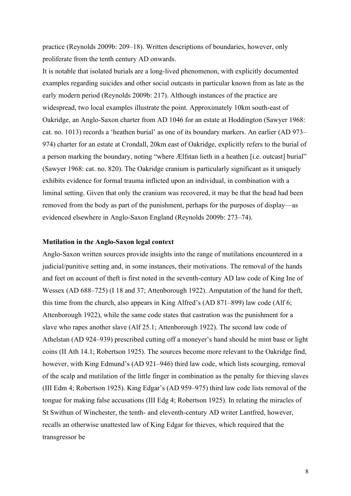practice (Reynolds 2009b: 209–18). Written descriptions of boundaries, however, only proliferate from the tenth century AD onwards.

It is notable that isolated burials are a long-lived phenomenon, with explicitly documented examples regarding suicides and other social outcasts in particular known from as late as the early modern period (Reynolds 2009b: 217). Although instances of the practice are widespread, two local examples illustrate the point. Approximately 10km south-east of Oakridge, an Anglo-Saxon charter from AD 1046 for an estate at Hoddington (Sawyer 1968: cat. no. 1013) records a 'heathen burial' as one of its boundary markers. An earlier (AD 973– 974) charter for an estate at Crondall, 20km east of Oakridge, explicitly refers to the burial of a person marking the boundary, noting "where Ælfstan lieth in a heathen [i.e. outcast] burial" (Sawyer 1968: cat. no. 820). The Oakridge cranium is particularly significant as it uniquely exhibits evidence for formal trauma inflicted upon an individual, in combination with a liminal setting. Given that only the cranium was recovered, it may be that the head had been removed from the body as part of the punishment, perhaps for the purposes of display—as evidenced elsewhere in Anglo-Saxon England (Reynolds 2009b: 273–74).

## **Mutilation in the Anglo-Saxon legal context**

Anglo-Saxon written sources provide insights into the range of mutilations encountered in a judicial/punitive setting and, in some instances, their motivations. The removal of the hands and feet on account of theft is first noted in the seventh-century AD law code of King Ine of Wessex (AD 688–725) (I 18 and 37; Attenborough 1922). Amputation of the hand for theft, this time from the church, also appears in King Alfred's (AD 871–899) law code (Alf 6; Attenborough 1922), while the same code states that castration was the punishment for a slave who rapes another slave (Alf 25.1; Attenborough 1922). The second law code of Athelstan (AD 924–939) prescribed cutting off a moneyer's hand should he mint base or light coins (II Ath 14.1; Robertson 1925). The sources become more relevant to the Oakridge find, however, with King Edmund's (AD 921–946) third law code, which lists scourging, removal of the scalp and mutilation of the little finger in combination as the penalty for thieving slaves (III Edm 4; Robertson 1925). King Edgar's (AD 959–975) third law code lists removal of the tongue for making false accusations (III Edg 4; Robertson 1925). In relating the miracles of St Swithun of Winchester, the tenth- and eleventh-century AD writer Lantfred, however, recalls an otherwise unattested law of King Edgar for thieves, which required that the transgressor be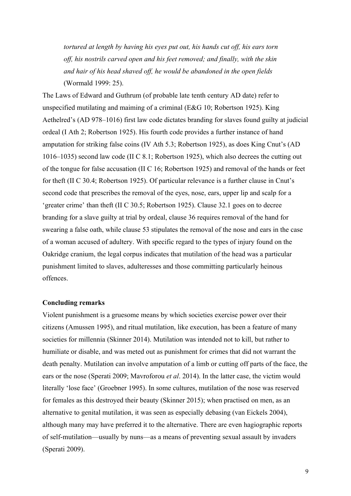*tortured at length by having his eyes put out, his hands cut off, his ears torn off, his nostrils carved open and his feet removed; and finally, with the skin and hair of his head shaved off, he would be abandoned in the open fields* (Wormald 1999: 25).

The Laws of Edward and Guthrum (of probable late tenth century AD date) refer to unspecified mutilating and maiming of a criminal (E&G 10; Robertson 1925). King Aethelred's (AD 978–1016) first law code dictates branding for slaves found guilty at judicial ordeal (I Ath 2; Robertson 1925). His fourth code provides a further instance of hand amputation for striking false coins (IV Ath 5.3; Robertson 1925), as does King Cnut's (AD 1016–1035) second law code (II C 8.1; Robertson 1925), which also decrees the cutting out of the tongue for false accusation (II C 16; Robertson 1925) and removal of the hands or feet for theft (II C 30.4; Robertson 1925). Of particular relevance is a further clause in Cnut's second code that prescribes the removal of the eyes, nose, ears, upper lip and scalp for a 'greater crime' than theft (II C 30.5; Robertson 1925). Clause 32.1 goes on to decree branding for a slave guilty at trial by ordeal, clause 36 requires removal of the hand for swearing a false oath, while clause 53 stipulates the removal of the nose and ears in the case of a woman accused of adultery. With specific regard to the types of injury found on the Oakridge cranium, the legal corpus indicates that mutilation of the head was a particular punishment limited to slaves, adulteresses and those committing particularly heinous offences.

#### **Concluding remarks**

Violent punishment is a gruesome means by which societies exercise power over their citizens (Amussen 1995), and ritual mutilation, like execution, has been a feature of many societies for millennia (Skinner 2014). Mutilation was intended not to kill, but rather to humiliate or disable, and was meted out as punishment for crimes that did not warrant the death penalty. Mutilation can involve amputation of a limb or cutting off parts of the face, the ears or the nose (Sperati 2009; Mavroforou *et al*. 2014). In the latter case, the victim would literally 'lose face' (Groebner 1995). In some cultures, mutilation of the nose was reserved for females as this destroyed their beauty (Skinner 2015); when practised on men, as an alternative to genital mutilation, it was seen as especially debasing (van Eickels 2004), although many may have preferred it to the alternative. There are even hagiographic reports of self-mutilation—usually by nuns—as a means of preventing sexual assault by invaders (Sperati 2009).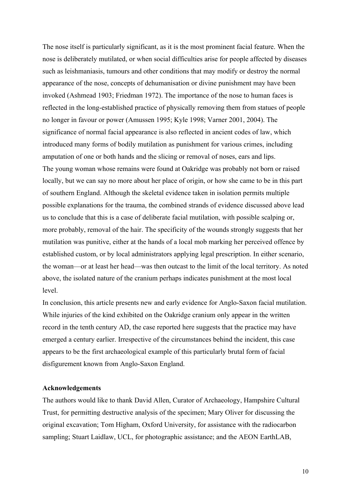The nose itself is particularly significant, as it is the most prominent facial feature. When the nose is deliberately mutilated, or when social difficulties arise for people affected by diseases such as leishmaniasis, tumours and other conditions that may modify or destroy the normal appearance of the nose, concepts of dehumanisation or divine punishment may have been invoked (Ashmead 1903; Friedman 1972). The importance of the nose to human faces is reflected in the long-established practice of physically removing them from statues of people no longer in favour or power (Amussen 1995; Kyle 1998; Varner 2001, 2004). The significance of normal facial appearance is also reflected in ancient codes of law, which introduced many forms of bodily mutilation as punishment for various crimes, including amputation of one or both hands and the slicing or removal of noses, ears and lips. The young woman whose remains were found at Oakridge was probably not born or raised locally, but we can say no more about her place of origin, or how she came to be in this part of southern England. Although the skeletal evidence taken in isolation permits multiple possible explanations for the trauma, the combined strands of evidence discussed above lead us to conclude that this is a case of deliberate facial mutilation, with possible scalping or, more probably, removal of the hair. The specificity of the wounds strongly suggests that her mutilation was punitive, either at the hands of a local mob marking her perceived offence by established custom, or by local administrators applying legal prescription. In either scenario, the woman—or at least her head—was then outcast to the limit of the local territory. As noted above, the isolated nature of the cranium perhaps indicates punishment at the most local level.

In conclusion, this article presents new and early evidence for Anglo-Saxon facial mutilation. While injuries of the kind exhibited on the Oakridge cranium only appear in the written record in the tenth century AD, the case reported here suggests that the practice may have emerged a century earlier. Irrespective of the circumstances behind the incident, this case appears to be the first archaeological example of this particularly brutal form of facial disfigurement known from Anglo-Saxon England.

### **Acknowledgements**

The authors would like to thank David Allen, Curator of Archaeology, Hampshire Cultural Trust, for permitting destructive analysis of the specimen; Mary Oliver for discussing the original excavation; Tom Higham, Oxford University, for assistance with the radiocarbon sampling; Stuart Laidlaw, UCL, for photographic assistance; and the AEON EarthLAB,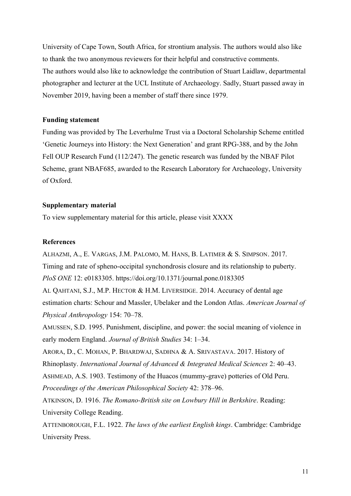University of Cape Town, South Africa, for strontium analysis. The authors would also like to thank the two anonymous reviewers for their helpful and constructive comments. The authors would also like to acknowledge the contribution of Stuart Laidlaw, departmental photographer and lecturer at the UCL Institute of Archaeology. Sadly, Stuart passed away in November 2019, having been a member of staff there since 1979.

## **Funding statement**

Funding was provided by The Leverhulme Trust via a Doctoral Scholarship Scheme entitled 'Genetic Journeys into History: the Next Generation' and grant RPG-388, and by the John Fell OUP Research Fund (112/247). The genetic research was funded by the NBAF Pilot Scheme, grant NBAF685, awarded to the Research Laboratory for Archaeology, University of Oxford.

# **Supplementary material**

To view supplementary material for this article, please visit XXXX

# **References**

ALHAZMI, A., E. VARGAS, J.M. PALOMO, M. HANS, B. LATIMER & S. SIMPSON. 2017. Timing and rate of spheno-occipital synchondrosis closure and its relationship to puberty. *PloS ONE* 12: e0183305. https://doi.org/10.1371/journal.pone.0183305 AL QAHTANI, S.J., M.P. HECTOR & H.M. LIVERSIDGE. 2014. Accuracy of dental age estimation charts: Schour and Massler, Ubelaker and the London Atlas. *American Journal of Physical Anthropology* 154: 70–78.

AMUSSEN, S.D. 1995. Punishment, discipline, and power: the social meaning of violence in early modern England. *Journal of British Studies* 34: 1–34.

ARORA, D., C. MOHAN, P. BHARDWAJ, SADHNA & A. SRIVASTAVA. 2017. History of Rhinoplasty. *International Journal of Advanced & Integrated Medical Sciences* 2: 40–43.

ASHMEAD, A.S. 1903. Testimony of the Huacos (mummy-grave) potteries of Old Peru. *Proceedings of the American Philosophical Society* 42: 378–96.

ATKINSON, D. 1916. *The Romano-British site on Lowbury Hill in Berkshire*. Reading: University College Reading.

ATTENBOROUGH, F.L. 1922. *The laws of the earliest English kings*. Cambridge: Cambridge University Press.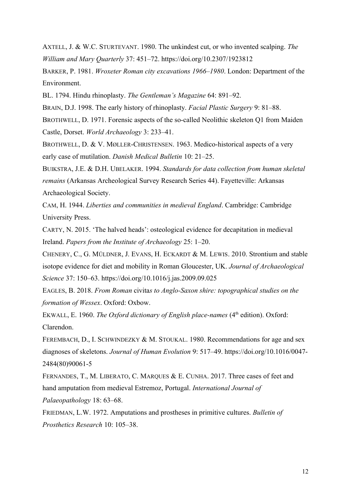AXTELL, J. & W.C. STURTEVANT. 1980. The unkindest cut, or who invented scalping. *The William and Mary Quarterly* 37: 451–72. https://doi.org/10.2307/1923812

BARKER, P. 1981. *Wroxeter Roman city excavations 1966–1980*. London: Department of the Environment.

BL. 1794. Hindu rhinoplasty. *The Gentleman's Magazine* 64: 891–92.

BRAIN, D.J. 1998. The early history of rhinoplasty. *Facial Plastic Surgery* 9: 81–88.

BROTHWELL, D. 1971. Forensic aspects of the so-called Neolithic skeleton Q1 from Maiden Castle, Dorset. *World Archaeology* 3: 233–41.

BROTHWELL, D. & V. MØLLER-CHRISTENSEN. 1963. Medico-historical aspects of a very early case of mutilation. *Danish Medical Bulletin* 10: 21–25.

BUIKSTRA, J.E. & D.H. UBELAKER. 1994. *Standards for data collection from human skeletal remains* (Arkansas Archeological Survey Research Series 44). Fayetteville: Arkansas Archaeological Society.

CAM, H. 1944. *Liberties and communities in medieval England*. Cambridge: Cambridge University Press.

CARTY, N. 2015. 'The halved heads': osteological evidence for decapitation in medieval Ireland. *Papers from the Institute of Archaeology* 25: 1–20.

CHENERY, C., G. MÜLDNER, J. EVANS, H. ECKARDT & M. LEWIS. 2010. Strontium and stable isotope evidence for diet and mobility in Roman Gloucester, UK. *Journal of Archaeological Science* 37: 150–63. https://doi.org/10.1016/j.jas.2009.09.025

EAGLES, B. 2018. *From Roman* civita*s to Anglo-Saxon shire: topographical studies on the formation of Wessex*. Oxford: Oxbow.

EKWALL, E. 1960. *The Oxford dictionary of English place-names* (4<sup>th</sup> edition). Oxford: Clarendon.

FEREMBACH, D., I. SCHWINDEZKY & M. STOUKAL. 1980. Recommendations for age and sex diagnoses of skeletons. *Journal of Human Evolution* 9: 517–49. https://doi.org/10.1016/0047- 2484(80)90061-5

FERNANDES, T., M. LIBERATO, C. MARQUES & E. CUNHA. 2017. Three cases of feet and hand amputation from medieval Estremoz, Portugal. *International Journal of Palaeopathology* 18: 63–68.

FRIEDMAN, L.W. 1972. Amputations and prostheses in primitive cultures. *Bulletin of Prosthetics Research* 10: 105–38.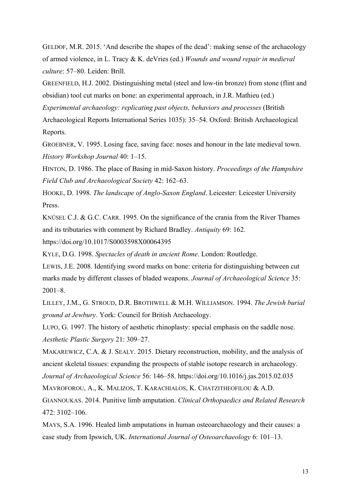GELDOF, M.R. 2015. 'And describe the shapes of the dead': making sense of the archaeology of armed violence, in L. Tracy & K. deVries (ed.) *Wounds and wound repair in medieval culture*: 57–80. Leiden: Brill.

GREENFIELD, H.J. 2002. Distinguishing metal (steel and low-tin bronze) from stone (flint and obsidian) tool cut marks on bone: an experimental approach, in J.R. Mathieu (ed.)

*Experimental archaeology: replicating past objects, behaviors and processes* (British

Archaeological Reports International Series 1035): 35–54. Oxford: British Archaeological Reports.

GROEBNER, V. 1995. Losing face, saving face: noses and honour in the late medieval town. *History Workshop Journal* 40: 1–15.

HINTON, D. 1986. The place of Basing in mid-Saxon history. *Proceedings of the Hampshire Field Club and Archaeological Society* 42: 162–63.

HOOKE, D. 1998. *The landscape of Anglo-Saxon England*. Leicester: Leicester University Press.

KNÜSEL C.J. & G.C. CARR. 1995. On the significance of the crania from the River Thames and its tributaries with comment by Richard Bradley. *Antiquity* 69: 162.

https://doi.org/10.1017/S0003598X00064395

KYLE, D.G. 1998. *Spectacles of death in ancient Rome*. London: Routledge.

LEWIS, J.E. 2008. Identifying sword marks on bone: criteria for distinguishing between cut marks made by different classes of bladed weapons. *Journal of Archaeological Science* 35: 2001–8.

LILLEY, J.M., G. STROUD, D.R. BROTHWELL & M.H. WILLIAMSON. 1994. *The Jewish burial ground at Jewbury*. York: Council for British Archaeology.

LUPO, G. 1997. The history of aesthetic rhinoplasty: special emphasis on the saddle nose. *Aesthetic Plastic Surgery* 21: 309–27.

MAKAREWICZ, C.A. & J. SEALY. 2015. Dietary reconstruction, mobility, and the analysis of ancient skeletal tissues: expanding the prospects of stable isotope research in archaeology.

*Journal of Archaeological Science* 56: 146–58. https://doi.org/10.1016/j.jas.2015.02.035

MAVROFOROU, A., K. MALIZOS, T. KARACHIALOS, K. CHATZITHEOFILOU & A.D.

GIANNOUKAS. 2014. Punitive limb amputation. *Clinical Orthopaedics and Related Research*  $472 \cdot 3102 - 106$ 

MAYS, S.A. 1996. Healed limb amputations in human osteoarchaeology and their causes: a case study from Ipswich, UK. *International Journal of Osteoarchaeology* 6: 101–13.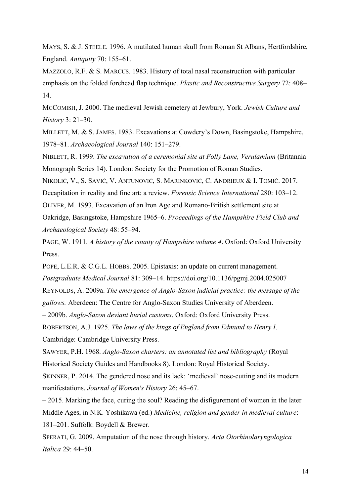MAYS, S. & J. STEELE. 1996. A mutilated human skull from Roman St Albans, Hertfordshire, England. *Antiquity* 70: 155–61.

MAZZOLO, R.F. & S. MARCUS. 1983. History of total nasal reconstruction with particular emphasis on the folded forehead flap technique. *Plastic and Reconstructive Surgery* 72: 408– 14.

MCCOMISH, J. 2000. The medieval Jewish cemetery at Jewbury, York. *Jewish Culture and History* 3: 21–30.

MILLETT, M. & S. JAMES. 1983. Excavations at Cowdery's Down, Basingstoke, Hampshire, 1978–81. *Archaeological Journal* 140: 151–279.

NIBLETT, R. 1999. *The excavation of a ceremonial site at Folly Lane, Verulamium* (Britannia Monograph Series 14). London: Society for the Promotion of Roman Studies.

NIKOLIĆ, V., S. SAVIĆ, V. ANTUNOVIĆ, S. MARINKOVIĆ, C. ANDRIEUX & I. TOMIĆ. 2017.

Decapitation in reality and fine art: a review. *Forensic Science International* 280: 103–12.

OLIVER, M. 1993. Excavation of an Iron Age and Romano-British settlement site at

Oakridge, Basingstoke, Hampshire 1965–6. *Proceedings of the Hampshire Field Club and Archaeological Society* 48: 55–94.

PAGE, W. 1911. *A history of the county of Hampshire volume 4*. Oxford: Oxford University Press.

POPE, L.E.R. & C.G.L. HOBBS. 2005. Epistaxis: an update on current management. *Postgraduate Medical Journal* 81: 309–14. https://doi.org/10.1136/pgmj.2004.025007 REYNOLDS, A. 2009a. *The emergence of Anglo-Saxon judicial practice: the message of the gallows.* Aberdeen: The Centre for Anglo-Saxon Studies University of Aberdeen.

– 2009b. *Anglo-Saxon deviant burial customs*. Oxford: Oxford University Press.

ROBERTSON, A.J. 1925. *The laws of the kings of England from Edmund to Henry I*.

Cambridge: Cambridge University Press.

SAWYER, P.H. 1968. *Anglo-Saxon charters: an annotated list and bibliography* (Royal Historical Society Guides and Handbooks 8). London: Royal Historical Society.

SKINNER, P. 2014. The gendered nose and its lack: 'medieval' nose-cutting and its modern manifestations. *Journal of Women's History* 26: 45–67.

– 2015. Marking the face, curing the soul? Reading the disfigurement of women in the later Middle Ages, in N.K. Yoshikawa (ed.) *Medicine, religion and gender in medieval culture*: 181–201. Suffolk: Boydell & Brewer.

SPERATI, G. 2009. Amputation of the nose through history. *Acta Otorhinolaryngologica Italica* 29: 44–50.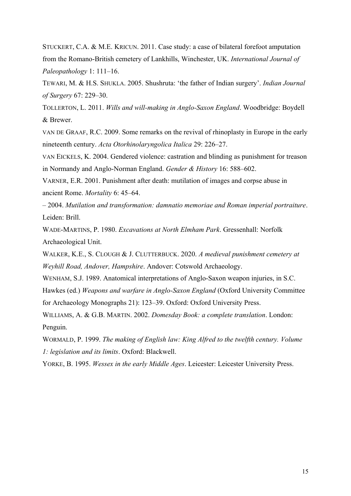STUCKERT, C.A. & M.E. KRICUN. 2011. Case study: a case of bilateral forefoot amputation from the Romano-British cemetery of Lankhills, Winchester, UK. *International Journal of Paleopathology* 1: 111–16.

TEWARI, M. & H.S. SHUKLA. 2005. Shushruta: 'the father of Indian surgery'. *Indian Journal of Surgery* 67: 229–30.

TOLLERTON, L. 2011. *Wills and will-making in Anglo-Saxon England*. Woodbridge: Boydell & Brewer.

VAN DE GRAAF, R.C. 2009. Some remarks on the revival of rhinoplasty in Europe in the early nineteenth century. *Acta Otorhinolaryngolica Italica* 29: 226–27.

VAN EICKELS, K. 2004. Gendered violence: castration and blinding as punishment for treason in Normandy and Anglo-Norman England. *Gender & History* 16: 588–602.

VARNER, E.R. 2001. Punishment after death: mutilation of images and corpse abuse in ancient Rome. *Mortality* 6: 45–64.

– 2004. *Mutilation and transformation: damnatio memoriae and Roman imperial portraiture*. Leiden: Brill.

WADE-MARTINS, P. 1980. *Excavations at North Elmham Park*. Gressenhall: Norfolk Archaeological Unit.

WALKER, K.E., S. CLOUGH & J. CLUTTERBUCK. 2020. *A medieval punishment cemetery at Weyhill Road, Andover, Hampshire*. Andover: Cotswold Archaeology.

WENHAM, S.J. 1989. Anatomical interpretations of Anglo-Saxon weapon injuries, in S.C.

Hawkes (ed.) *Weapons and warfare in Anglo-Saxon England* (Oxford University Committee

for Archaeology Monographs 21): 123–39. Oxford: Oxford University Press.

WILLIAMS, A. & G.B. MARTIN. 2002. *Domesday Book: a complete translation*. London: Penguin.

WORMALD, P. 1999. *The making of English law: King Alfred to the twelfth century. Volume 1: legislation and its limits*. Oxford: Blackwell.

YORKE, B. 1995. *Wessex in the early Middle Ages*. Leicester: Leicester University Press.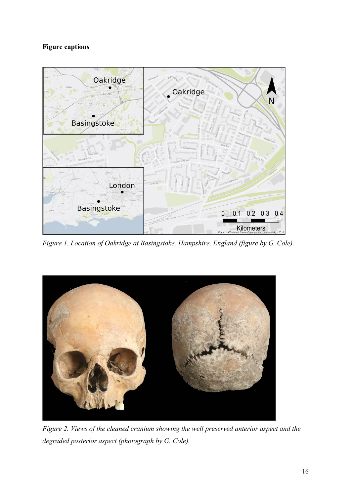# **Figure captions**



*Figure 1. Location of Oakridge at Basingstoke, Hampshire, England (figure by G. Cole).*



*Figure 2. Views of the cleaned cranium showing the well preserved anterior aspect and the degraded posterior aspect (photograph by G. Cole).*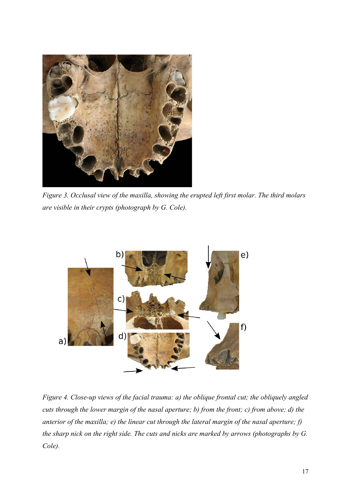

*Figure 3. Occlusal view of the maxilla, showing the erupted left first molar. The third molars are visible in their crypts (photograph by G. Cole).*



*Figure 4. Close-up views of the facial trauma: a) the oblique frontal cut; the obliquely angled cuts through the lower margin of the nasal aperture; b) from the front; c) from above; d) the anterior of the maxilla; e) the linear cut through the lateral margin of the nasal aperture; f) the sharp nick on the right side. The cuts and nicks are marked by arrows (photographs by G. Cole).*